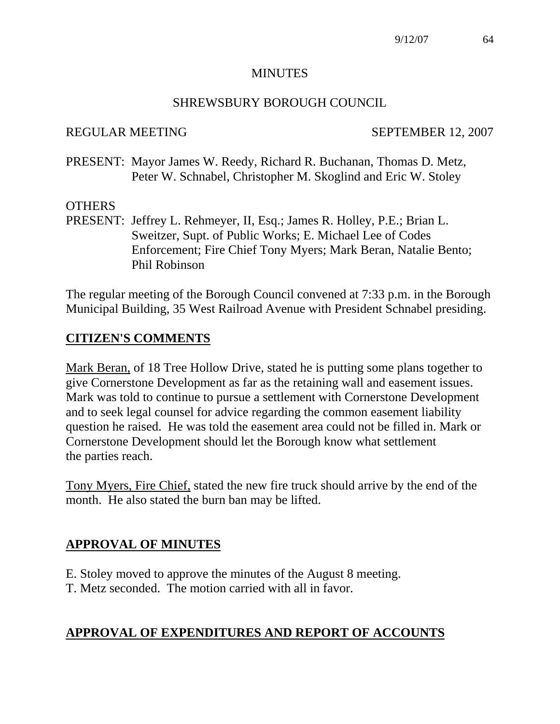#### MINUTES

### SHREWSBURY BOROUGH COUNCIL

### REGULAR MEETING SEPTEMBER 12, 2007

PRESENT: Mayor James W. Reedy, Richard R. Buchanan, Thomas D. Metz, Peter W. Schnabel, Christopher M. Skoglind and Eric W. Stoley

# **OTHERS**

PRESENT: Jeffrey L. Rehmeyer, II, Esq.; James R. Holley, P.E.; Brian L. Sweitzer, Supt. of Public Works; E. Michael Lee of Codes Enforcement; Fire Chief Tony Myers; Mark Beran, Natalie Bento; Phil Robinson

The regular meeting of the Borough Council convened at 7:33 p.m. in the Borough Municipal Building, 35 West Railroad Avenue with President Schnabel presiding.

# **CITIZEN'S COMMENTS**

Mark Beran, of 18 Tree Hollow Drive, stated he is putting some plans together to give Cornerstone Development as far as the retaining wall and easement issues. Mark was told to continue to pursue a settlement with Cornerstone Development and to seek legal counsel for advice regarding the common easement liability question he raised. He was told the easement area could not be filled in. Mark or Cornerstone Development should let the Borough know what settlement the parties reach.

Tony Myers, Fire Chief, stated the new fire truck should arrive by the end of the month. He also stated the burn ban may be lifted.

# **APPROVAL OF MINUTES**

- E. Stoley moved to approve the minutes of the August 8 meeting.
- T. Metz seconded. The motion carried with all in favor.

# **APPROVAL OF EXPENDITURES AND REPORT OF ACCOUNTS**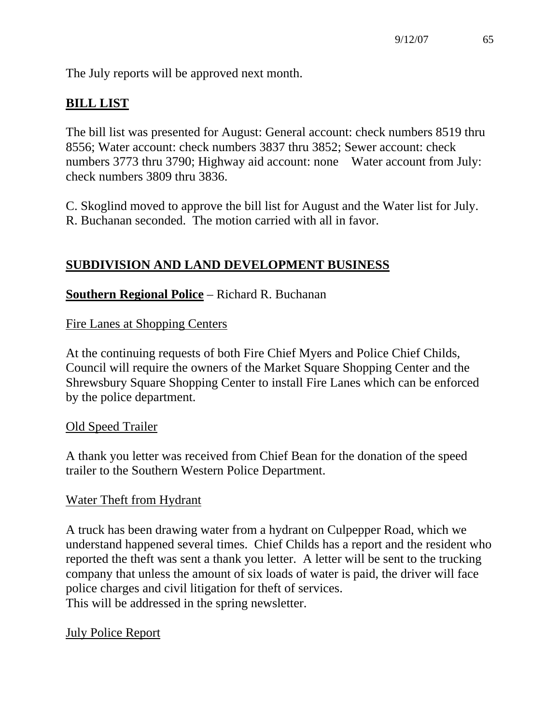The July reports will be approved next month.

# **BILL LIST**

The bill list was presented for August: General account: check numbers 8519 thru 8556; Water account: check numbers 3837 thru 3852; Sewer account: check numbers 3773 thru 3790; Highway aid account: none Water account from July: check numbers 3809 thru 3836.

C. Skoglind moved to approve the bill list for August and the Water list for July. R. Buchanan seconded. The motion carried with all in favor.

# **SUBDIVISION AND LAND DEVELOPMENT BUSINESS**

# **Southern Regional Police** – Richard R. Buchanan

Fire Lanes at Shopping Centers

At the continuing requests of both Fire Chief Myers and Police Chief Childs, Council will require the owners of the Market Square Shopping Center and the Shrewsbury Square Shopping Center to install Fire Lanes which can be enforced by the police department.

# Old Speed Trailer

A thank you letter was received from Chief Bean for the donation of the speed trailer to the Southern Western Police Department.

# Water Theft from Hydrant

A truck has been drawing water from a hydrant on Culpepper Road, which we understand happened several times. Chief Childs has a report and the resident who reported the theft was sent a thank you letter. A letter will be sent to the trucking company that unless the amount of six loads of water is paid, the driver will face police charges and civil litigation for theft of services. This will be addressed in the spring newsletter.

# July Police Report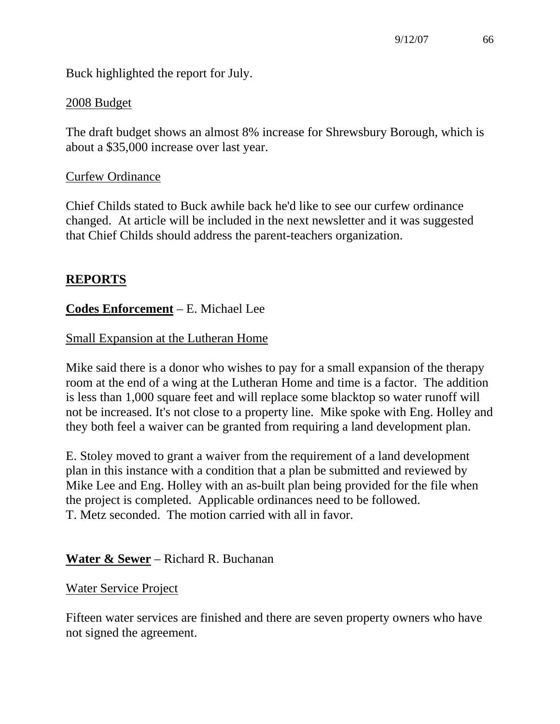Buck highlighted the report for July.

# 2008 Budget

The draft budget shows an almost 8% increase for Shrewsbury Borough, which is about a \$35,000 increase over last year.

# Curfew Ordinance

Chief Childs stated to Buck awhile back he'd like to see our curfew ordinance changed. At article will be included in the next newsletter and it was suggested that Chief Childs should address the parent-teachers organization.

# **REPORTS**

# **Codes Enforcement** – E. Michael Lee

# Small Expansion at the Lutheran Home

Mike said there is a donor who wishes to pay for a small expansion of the therapy room at the end of a wing at the Lutheran Home and time is a factor. The addition is less than 1,000 square feet and will replace some blacktop so water runoff will not be increased. It's not close to a property line. Mike spoke with Eng. Holley and they both feel a waiver can be granted from requiring a land development plan.

E. Stoley moved to grant a waiver from the requirement of a land development plan in this instance with a condition that a plan be submitted and reviewed by Mike Lee and Eng. Holley with an as-built plan being provided for the file when the project is completed. Applicable ordinances need to be followed. T. Metz seconded. The motion carried with all in favor.

# **Water & Sewer** – Richard R. Buchanan

# Water Service Project

Fifteen water services are finished and there are seven property owners who have not signed the agreement.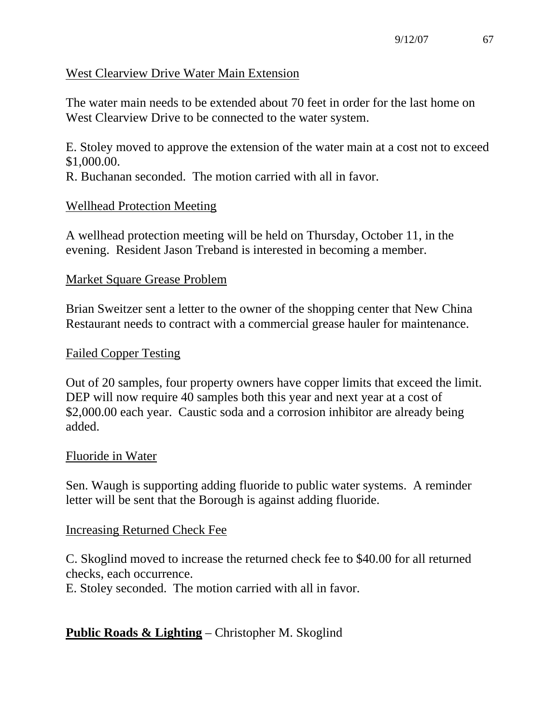# West Clearview Drive Water Main Extension

The water main needs to be extended about 70 feet in order for the last home on West Clearview Drive to be connected to the water system.

E. Stoley moved to approve the extension of the water main at a cost not to exceed \$1,000.00.

R. Buchanan seconded. The motion carried with all in favor.

# Wellhead Protection Meeting

A wellhead protection meeting will be held on Thursday, October 11, in the evening. Resident Jason Treband is interested in becoming a member.

# Market Square Grease Problem

Brian Sweitzer sent a letter to the owner of the shopping center that New China Restaurant needs to contract with a commercial grease hauler for maintenance.

# Failed Copper Testing

Out of 20 samples, four property owners have copper limits that exceed the limit. DEP will now require 40 samples both this year and next year at a cost of \$2,000.00 each year. Caustic soda and a corrosion inhibitor are already being added.

# Fluoride in Water

Sen. Waugh is supporting adding fluoride to public water systems. A reminder letter will be sent that the Borough is against adding fluoride.

# Increasing Returned Check Fee

C. Skoglind moved to increase the returned check fee to \$40.00 for all returned checks, each occurrence.

E. Stoley seconded. The motion carried with all in favor.

# **Public Roads & Lighting** – Christopher M. Skoglind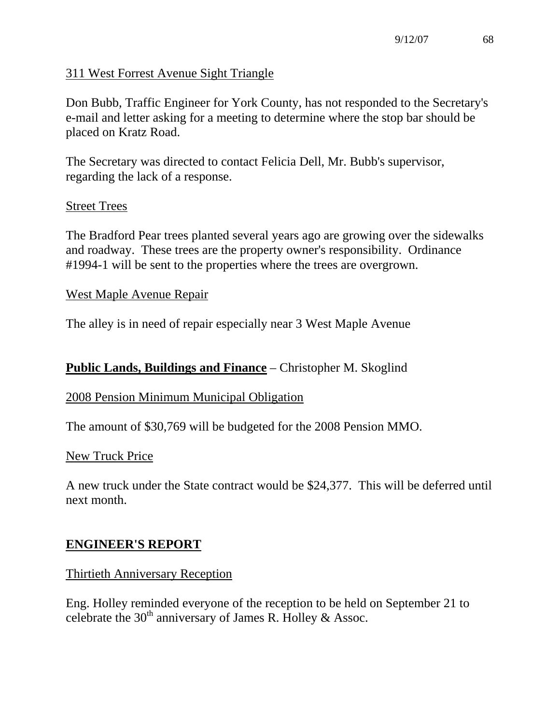# 311 West Forrest Avenue Sight Triangle

Don Bubb, Traffic Engineer for York County, has not responded to the Secretary's e-mail and letter asking for a meeting to determine where the stop bar should be placed on Kratz Road.

The Secretary was directed to contact Felicia Dell, Mr. Bubb's supervisor, regarding the lack of a response.

### Street Trees

The Bradford Pear trees planted several years ago are growing over the sidewalks and roadway. These trees are the property owner's responsibility. Ordinance #1994-1 will be sent to the properties where the trees are overgrown.

#### West Maple Avenue Repair

The alley is in need of repair especially near 3 West Maple Avenue

# **Public Lands, Buildings and Finance** – Christopher M. Skoglind

#### 2008 Pension Minimum Municipal Obligation

The amount of \$30,769 will be budgeted for the 2008 Pension MMO.

#### New Truck Price

A new truck under the State contract would be \$24,377. This will be deferred until next month.

# **ENGINEER'S REPORT**

#### Thirtieth Anniversary Reception

Eng. Holley reminded everyone of the reception to be held on September 21 to celebrate the  $30<sup>th</sup>$  anniversary of James R. Holley & Assoc.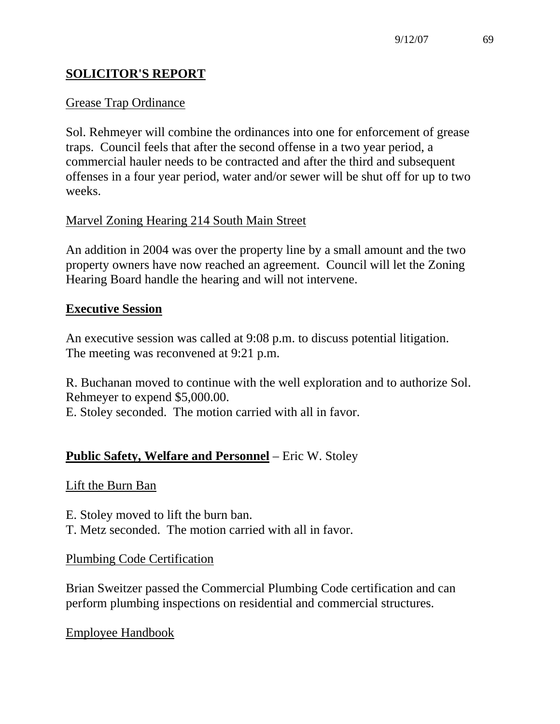# **SOLICITOR'S REPORT**

# Grease Trap Ordinance

Sol. Rehmeyer will combine the ordinances into one for enforcement of grease traps. Council feels that after the second offense in a two year period, a commercial hauler needs to be contracted and after the third and subsequent offenses in a four year period, water and/or sewer will be shut off for up to two weeks.

# Marvel Zoning Hearing 214 South Main Street

An addition in 2004 was over the property line by a small amount and the two property owners have now reached an agreement. Council will let the Zoning Hearing Board handle the hearing and will not intervene.

# **Executive Session**

An executive session was called at 9:08 p.m. to discuss potential litigation. The meeting was reconvened at 9:21 p.m.

R. Buchanan moved to continue with the well exploration and to authorize Sol. Rehmeyer to expend \$5,000.00.

E. Stoley seconded. The motion carried with all in favor.

# **Public Safety, Welfare and Personnel** – Eric W. Stoley

# Lift the Burn Ban

E. Stoley moved to lift the burn ban. T. Metz seconded. The motion carried with all in favor.

#### Plumbing Code Certification

Brian Sweitzer passed the Commercial Plumbing Code certification and can perform plumbing inspections on residential and commercial structures.

# Employee Handbook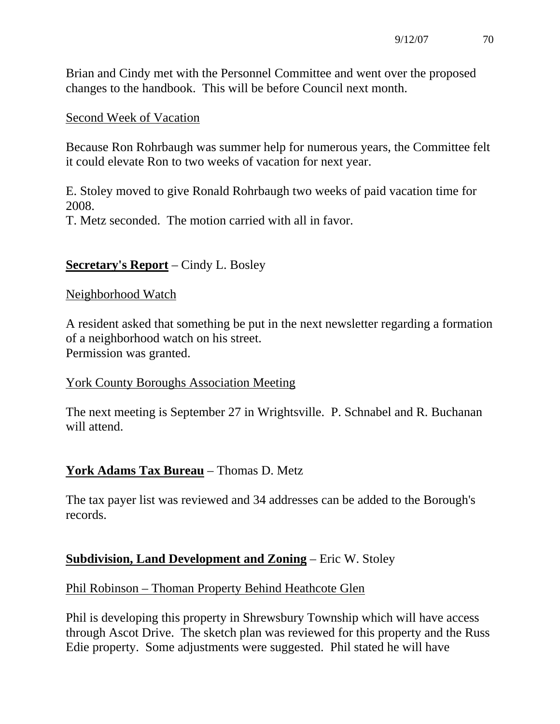Brian and Cindy met with the Personnel Committee and went over the proposed changes to the handbook. This will be before Council next month.

# Second Week of Vacation

Because Ron Rohrbaugh was summer help for numerous years, the Committee felt it could elevate Ron to two weeks of vacation for next year.

E. Stoley moved to give Ronald Rohrbaugh two weeks of paid vacation time for 2008.

T. Metz seconded. The motion carried with all in favor.

# **Secretary's Report** – Cindy L. Bosley

### Neighborhood Watch

A resident asked that something be put in the next newsletter regarding a formation of a neighborhood watch on his street. Permission was granted.

# York County Boroughs Association Meeting

The next meeting is September 27 in Wrightsville. P. Schnabel and R. Buchanan will attend.

# **York Adams Tax Bureau** – Thomas D. Metz

The tax payer list was reviewed and 34 addresses can be added to the Borough's records.

# **Subdivision, Land Development and Zoning** – Eric W. Stoley

# Phil Robinson – Thoman Property Behind Heathcote Glen

Phil is developing this property in Shrewsbury Township which will have access through Ascot Drive. The sketch plan was reviewed for this property and the Russ Edie property. Some adjustments were suggested. Phil stated he will have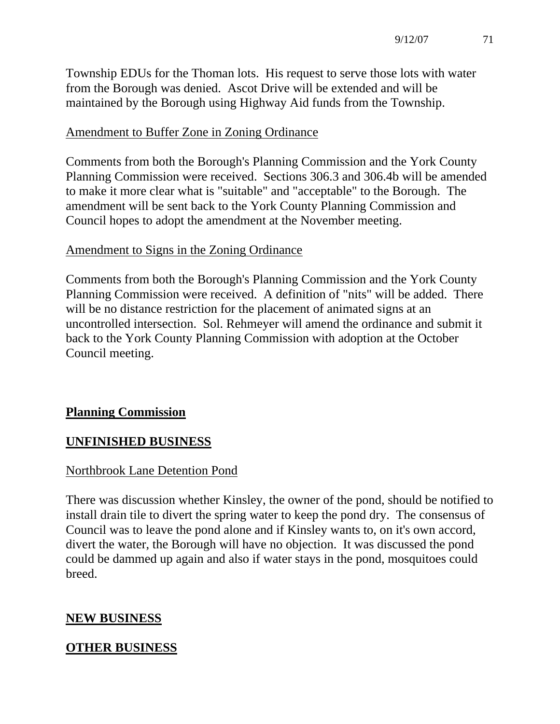Township EDUs for the Thoman lots. His request to serve those lots with water from the Borough was denied. Ascot Drive will be extended and will be maintained by the Borough using Highway Aid funds from the Township.

# Amendment to Buffer Zone in Zoning Ordinance

Comments from both the Borough's Planning Commission and the York County Planning Commission were received. Sections 306.3 and 306.4b will be amended to make it more clear what is "suitable" and "acceptable" to the Borough. The amendment will be sent back to the York County Planning Commission and Council hopes to adopt the amendment at the November meeting.

# Amendment to Signs in the Zoning Ordinance

Comments from both the Borough's Planning Commission and the York County Planning Commission were received. A definition of "nits" will be added. There will be no distance restriction for the placement of animated signs at an uncontrolled intersection. Sol. Rehmeyer will amend the ordinance and submit it back to the York County Planning Commission with adoption at the October Council meeting.

# **Planning Commission**

# **UNFINISHED BUSINESS**

# Northbrook Lane Detention Pond

There was discussion whether Kinsley, the owner of the pond, should be notified to install drain tile to divert the spring water to keep the pond dry. The consensus of Council was to leave the pond alone and if Kinsley wants to, on it's own accord, divert the water, the Borough will have no objection. It was discussed the pond could be dammed up again and also if water stays in the pond, mosquitoes could breed.

# **NEW BUSINESS**

# **OTHER BUSINESS**